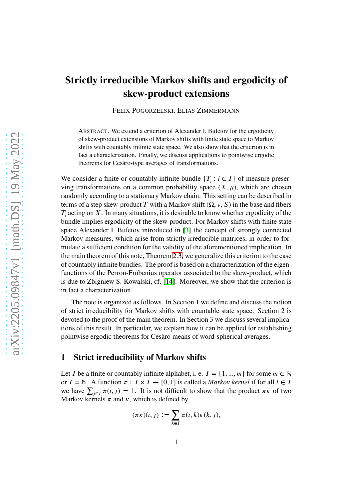# **Strictly irreducible Markov shifts and ergodicity of skew-product extensions**

FELIX POGORZELSKI, ELIAS ZIMMERMANN

ABSTRACT. We extend a criterion of Alexander I. Bufetov for the ergodicity of skew-product extensions of Markov shifts with finite state space to Markov shifts with countably infinite state space. We also show that the criterion is in fact a characterization. Finally, we discuss applications to pointwise ergodic theorems for Cesàro-type averages of transformations.

We consider a finite or countably infinite bundle  ${T_\tau : i \in I}$  of measure preserving transformations on a common probability space  $(X, \mu)$ , which are chosen randomly according to a stationary Markov chain. This setting can be described in terms of a step skew-product *T* with a Markov shift  $(\Omega, \nu, S)$  in the base and fibers  $T_i$  acting on *X*. In many situations, it is desirable to know whether ergodicity of the bundle implies ergodicity of the skew-product. For Markov shifts with finite state space Alexander I. Bufetov introduced in [\[3\]](#page-13-0) the concept of strongly connected Markov measures, which arise from strictly irreducible matrices, in order to formulate a sufficient condition for the validity of the aforementioned implication. In the main theorem of this note, Theorem [2.3,](#page-5-0) we generalize this criterion to the case of countably infinite bundles. The proof is based on a characterization of the eigenfunctions of the Perron-Frobenius operator associated to the skew-product, which is due to Zbigniew S. Kowalski, cf. [\[14\]](#page-14-0). Moreover, we show that the criterion is in fact a characterization.

The note is organized as follows. In Section 1 we define and discuss the notion of strict irreducibility for Markov shifts with countable state space. Section 2 is devoted to the proof of the main theorem. In Section 3 we discuss several implications of this result. In particular, we explain how it can be applied for establishing pointwise ergodic theorems for Cesàro means of word-spherical averages.

### **1 Strict irreducibility of Markov shifts**

Let *I* be a finite or countably infinite alphabet, i. e.  $I = \{1, ..., m\}$  for some  $m \in \mathbb{N}$ or *I* = ℕ. A function  $\pi$  : *I* × *I* → [0, 1] is called a *Markov kernel* if for all *i* ∈ *I* we have  $\sum_{j\in I} \pi(i, j) = 1$ . It is not difficult to show that the product  $\pi\kappa$  of two Markov kernels  $\pi$  and  $\kappa$ , which is defined by

$$
(\pi \kappa)(i, j) := \sum_{k \in I} \pi(i, k) \kappa(k, j),
$$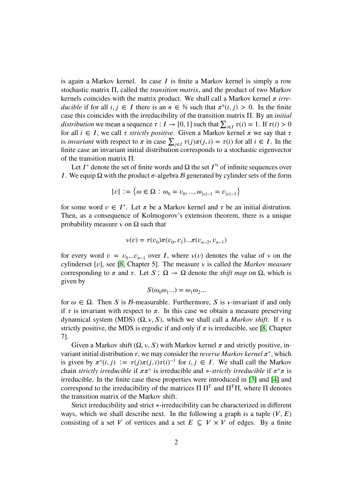is again a Markov kernel. In case  $I$  is finite a Markov kernel is simply a row stochastic matrix Π, called the *transition matrix*, and the product of two Markov kernels coincides with the matrix product. We shall call a Markov kernel  $\pi$  *irreducible* if for all  $i, j \in I$  there is an  $n \in \mathbb{N}$  such that  $\pi^n(i, j) > 0$ . In the finite case this coincides with the irreducibility of the transition matrix Π. By an *initial distribution* we mean a sequence  $\tau : I \to [0, 1]$  such that  $\sum_{i \in I} \tau(i) = 1$ . If  $\tau(i) > 0$ for all  $i \in I$ , we call  $\tau$  *strictly positive*. Given a Markov kernel  $\pi$  we say that  $\tau$ is *invariant* with respect to  $\pi$  in case  $\sum_{j \in I} \tau(j)\pi(j, i) = \tau(i)$  for all  $i \in I$ . In the finite case an invariant initial distribution corresponds to a stochastic eigenvector of the transition matrix Π.

Let  $I^*$  denote the set of finite words and  $\Omega$  the set  $I^{\mathbb{N}}$  of infinite sequences over *I*. We equip  $\Omega$  with the product  $\sigma$ -algebra  $\beta$  generated by cylinder sets of the form

$$
[v] := \left\{\omega \in \Omega : \omega_0 = v_0, ..., \omega_{|v|-1} = v_{|v|-1}\right\}
$$

for some word  $v \in I^*$ . Let  $\pi$  be a Markov kernel and  $\tau$  be an initial distrution. Then, as a consequence of Kolmogorov's extension theorem, there is a unique probability measure  $\nu$  on  $\Omega$  such that

$$
v(v) = \tau(v_0)\pi(v_0, v_1)...\pi(v_{n-2}, v_{n-1})
$$

for every word  $v = v_0...v_{n-1}$  over *I*, where  $v(v)$  denotes the value of *v* on the cylinderset [ $v$ ], see [\[8,](#page-14-1) Chapter 5]. The measure  $v$  is called the *Markov measure* corresponding to  $\pi$  and  $\tau$ . Let  $S: \Omega \to \Omega$  denote the *shift map* on  $\Omega$ , which is given by

$$
S(\omega_0\omega_1...) = \omega_1\omega_2...
$$

for  $\omega \in \Omega$ . Then *S* is *B*-measurable. Furthermore, *S* is *v*-invariant if and only if  $\tau$  is invariant with respect to  $\pi$ . In this case we obtain a measure preserving dynamical system (MDS) (Ω,  $v$ , S), which we shall call a *Markov shift*. If  $\tau$  is strictly positive, the MDS is ergodic if and only if  $\pi$  is irreducible, see [\[8,](#page-14-1) Chapter 7].

Given a Markov shift  $(\Omega, v, S)$  with Markov kernel  $\pi$  and strictly positive, invariant initial distribution  $\tau$ , we may consider the *reverse Markov kernel*  $\pi^*$ , which is given by  $\pi^*(i, j) := \tau(j)\pi(j, i)\tau(i)^{-1}$  for  $i, j \in I$ . We shall call the Markov chain *strictly irreducible* if  $\pi \pi^*$  is irreducible and \*-*strictly irreducible* if  $\pi^* \pi$  is irreducible. In the finite case these properties were introduced in [\[3\]](#page-13-0) and [\[4\]](#page-14-2) and correspond to the irreducibility of the matrices  $\Pi \Pi^T$  and  $\Pi^T \Pi$ , where  $\Pi$  denotes the transition matrix of the Markov shift.

Strict irreducibility and strict ∗-irreducibility can be characterized in different ways, which we shall describe next. In the following a graph is a tuple  $(V, E)$ consisting of a set *V* of vertices and a set  $E \subseteq V \times V$  of edges. By a finite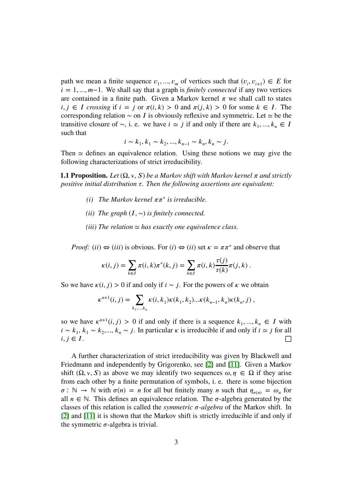path we mean a finite sequence  $v_1, ..., v_m$  of vertices such that  $(v_i, v_{i+1}) \in E$  for *i* = 1, ..., *m*−1. We shall say that a graph is *finitely connected* if any two vertices are contained in a finite path. Given a Markov kernel  $\pi$  we shall call to states  $i, j \in I$  crossing if  $i = j$  or  $\pi(i, k) > 0$  and  $\pi(j, k) > 0$  for some  $k \in I$ . The corresponding relation ∼ on *𝐼* is obviously reflexive and symmetric. Let ≃ be the transitive closure of  $\sim$ , i. e. we have  $i \approx j$  if and only if there are  $k_1, ..., k_n \in I$ such that

$$
i \sim k_1, k_1 \sim k_2, ..., k_{n-1} \sim k_n, k_n \sim j.
$$

Then  $\simeq$  defines an equivalence relation. Using these notions we may give the following characterizations of strict irreducibility.

**1.1 Proposition.** Let  $(\Omega, v, S)$  be a Markov shift with Markov kernel  $\pi$  and strictly *positive initial distribution*  $\tau$ . Then the following assertions are equivalent:

- *(i)* The Markov kernel  $\pi \pi^*$  is irreducible.
- *(ii)* The graph  $(I, \sim)$  *is finitely connected.*
- *(iii)* The relation  $\simeq$  has exactly one equivalence class.

*Proof:* (*ii*)  $\Leftrightarrow$  (*iii*) is obvious. For (*i*)  $\Leftrightarrow$  (*ii*) set  $\kappa = \pi \pi^*$  and observe that

$$
\kappa(i, j) = \sum_{k \in I} \pi(i, k) \pi^*(k, j) = \sum_{k \in I} \pi(i, k) \frac{\tau(j)}{\tau(k)} \pi(j, k) .
$$

So we have  $\kappa(i, j) > 0$  if and only if  $i \sim j$ . For the powers of  $\kappa$  we obtain

$$
\kappa^{n+1}(i,j) = \sum_{k_1,\dots,k_n} \kappa(i,k_1)\kappa(k_1,k_2)\dots\kappa(k_{n-1},k_n)\kappa(k_n,j) ,
$$

so we have  $\kappa^{n+1}(i, j) > 0$  if and only if there is a sequence  $k_1, ..., k_n \in I$  with *i* ∼  $k_1$ ,  $k_1$  ∼  $k_2$ ,...,  $k_n$  ∼ *j*. In particular  $\kappa$  is irreducible if and only if *i* ≃ *j* for all  $i, j \in I$ .

A further characterization of strict irreducibility was given by Blackwell and Friedmann and independently by Grigorenko, see [\[2\]](#page-13-1) and [\[11\]](#page-14-3). Given a Markov shift  $(\Omega, v, S)$  as above we may identify two sequences  $\omega, \eta \in \Omega$  if they arise from each other by a finite permutation of symbols, i. e. there is some bijection  $\sigma : \mathbb{N} \to \mathbb{N}$  with  $\sigma(n) = n$  for all but finitely many *n* such that  $\eta_{\sigma(n)} = \omega_n$  for all  $n \in \mathbb{N}$ . This defines an equivalence relation. The  $\sigma$ -algebra generated by the classes of this relation is called the *symmetric*  $\sigma$ -*algebra* of the Markov shift. In [\[2\]](#page-13-1) and [\[11\]](#page-14-3) it is shown that the Markov shift is strictly irreducible if and only if the symmetric  $\sigma$ -algebra is trivial.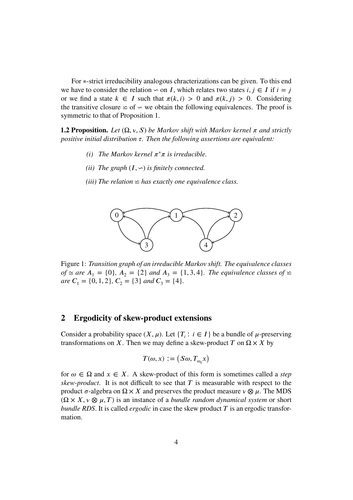For ∗-strict irreducibility analogous chracterizations can be given. To this end we have to consider the relation  $\sim$  on *I*, which relates two states *i*, *j* ∈ *I* if *i* = *j* or we find a state  $k \in I$  such that  $\pi(k, i) > 0$  and  $\pi(k, j) > 0$ . Considering the transitive closure  $\leq$  of  $\sim$  we obtain the following equivalences. The proof is symmetric to that of Proposition 1.

**1.2 Proposition.** Let  $(\Omega, v, S)$  be Markov shift with Markov kernel  $\pi$  and strictly *positive initial distribution*  $\tau$ . Then the following assertions are equivalent:

- *(i)* The Markov kernel  $\pi^* \pi$  is irreducible.
- *(ii)* The graph  $(I, \neg)$  *is finitely connected.*
- *(iii)* The relation  $\leq$  has exactly one equivalence class.



Figure 1: *Transition graph of an irreducible Markov shift. The equivalence classes of* ≃ *are*  $A_1 = \{0\}$ *,*  $A_2 = \{2\}$  *and*  $A_3 = \{1, 3, 4\}$ *. The equivalence classes of* ≃ *are*  $C_1 = \{0, 1, 2\}$ ,  $C_2 = \{3\}$  *and*  $C_3 = \{4\}$ *.* 

#### **2 Ergodicity of skew-product extensions**

Consider a probability space  $(X, \mu)$ . Let  $\{T_i : i \in I\}$  be a bundle of  $\mu$ -preserving transformations on *X*. Then we may define a skew-product *T* on  $\Omega \times X$  by

$$
T(\omega,x):=\big(S\omega,T_{\omega_0}x\big)
$$

for  $\omega \in \Omega$  and  $x \in X$ . A skew-product of this form is sometimes called a *step skew-product*. It is not difficult to see that  $T$  is measurable with respect to the product  $\sigma$ -algebra on  $\Omega \times X$  and preserves the product measure  $\nu \otimes \mu$ . The MDS  $(\Omega \times X, \nu \otimes \mu, T)$  is an instance of a *bundle random dynamical system* or short *bundle RDS*. It is called *ergodic* in case the skew product  $T$  is an ergodic transformation.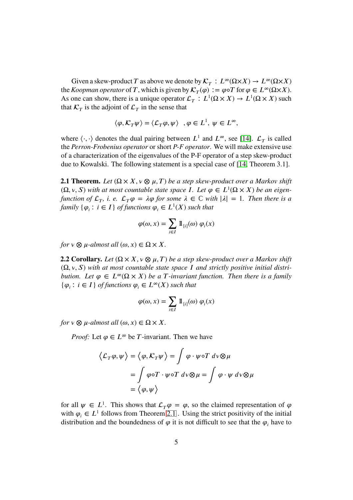Given a skew-product *T* as above we denote by  $\mathcal{K}_T : L^{\infty}(\Omega \times X) \to L^{\infty}(\Omega \times X)$ the *Koopman operator* of *T*, which is given by  $\mathcal{K}_T(\varphi) := \varphi \circ T$  for  $\varphi \in L^\infty(\Omega \times X)$ . As one can show, there is a unique operator  $\mathcal{L}_T : L^1(\Omega \times X) \to L^1(\Omega \times X)$  such that  $\mathcal{K}_T$  is the adjoint of  $\mathcal{L}_T$  in the sense that

$$
\langle \varphi, \mathcal{K}_T \psi \rangle = \langle \mathcal{L}_T \varphi, \psi \rangle \quad , \varphi \in L^1, \ \psi \in L^\infty,
$$

where  $\langle \cdot, \cdot \rangle$  denotes the dual pairing between  $L^1$  and  $L^\infty$ , see [\[14\]](#page-14-0).  $\mathcal{L}_T$  is called the *Perron-Frobenius operator* or short *P-F operator*. We will make extensive use of a characterization of the eigenvalues of the P-F operator of a step skew-product due to Kowalski. The following statement is a special case of [\[14,](#page-14-0) Theorem 3.1].

<span id="page-4-0"></span>**2.1 Theorem.** Let  $(\Omega \times X, v \otimes \mu, T)$  be a step skew-product over a Markov shift  $(\Omega, v, S)$  *with at most countable state space I*. Let  $\varphi \in L^1(\Omega \times X)$  *be an eigenfunction of*  $\mathcal{L}_T$ , *i. e.*  $\mathcal{L}_T \varphi = \lambda \varphi$  *for some*  $\lambda \in \mathbb{C}$  *with*  $|\lambda| = 1$ *. Then there is a family*  $\{\varphi_i : i \in I\}$  *of functions*  $\varphi_i \in L^1(X)$  *such that* 

$$
\varphi(\omega,x)=\sum_{i\in I}\,1\hskip-2.5pt1_{[i]}(\omega)\,\varphi_i(x)
$$

*for*  $v \otimes \mu$ -almost all  $(\omega, x) \in \Omega \times X$ .

<span id="page-4-1"></span>**2.2 Corollary.** *Let*  $(\Omega \times X, v \otimes \mu, T)$  *be a step skew-product over a Markov shift* (Ω*, 𝜈, 𝑆*) *with at most countable state space 𝐼 and strictly positive initial distribution. Let*  $\varphi \in L^{\infty}(\Omega \times X)$  *be a T*-invariant function. Then there is a family { $\varphi_i$ : *i* ∈ *I*} *of functions*  $\varphi_i$  ∈  $L^\infty(X)$  *such that* 

$$
\varphi(\omega, x) = \sum_{i \in I} \mathbb{1}_{[i]}(\omega) \varphi_i(x)
$$

*for*  $v \otimes u$ -almost all  $(\omega, x) \in \Omega \times X$ .

*Proof:* Let  $\varphi \in L^{\infty}$  be *T*-invariant. Then we have

$$
\langle \mathcal{L}_T \varphi, \psi \rangle = \langle \varphi, \mathcal{K}_T \psi \rangle = \int \varphi \cdot \psi \circ T \, d\mathbf{v} \otimes \mu
$$

$$
= \int \varphi \circ T \cdot \psi \circ T \, d\mathbf{v} \otimes \mu = \int \varphi \cdot \psi \, d\mathbf{v} \otimes \mu
$$

$$
= \langle \varphi, \psi \rangle
$$

for all  $\psi \in L^1$ . This shows that  $\mathcal{L}_T \varphi = \varphi$ , so the claimed representation of  $\varphi$ with  $\varphi_i \in L^1$  follows from Theorem [2.1](#page-4-0). Using the strict positivity of the initial distribution and the boundedness of  $\varphi$  it is not difficult to see that the  $\varphi_i$  have to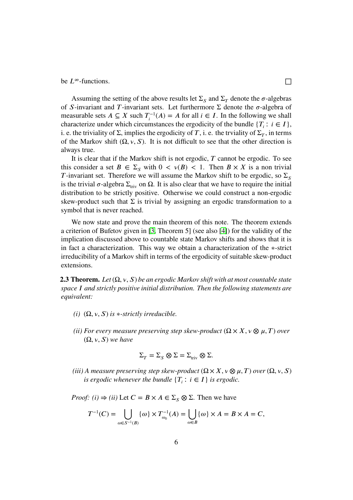be  $L^\infty$ -functions.

Assuming the setting of the above results let  $\Sigma_{\rm s}$  and  $\Sigma_{\rm t}$  denote the  $\sigma$ -algebras of *S*-invariant and *T*-invariant sets. Let furthermore  $\Sigma$  denote the  $\sigma$ -algebra of measurable sets *A* ⊆ *X* such  $T_i^{-1}(A) = A$  for all  $i \in I$ . In the following we shall characterize under which circumstances the ergodicity of the bundle  ${T_i : i \in I}$ , i. e. the triviality of  $\Sigma$ , implies the ergodicity of  $T$ , i. e. the trviality of  $\Sigma_T$ , in terms of the Markov shift  $(\Omega, \nu, S)$ . It is not difficult to see that the other direction is always true.

It is clear that if the Markov shift is not ergodic, *𝑇* cannot be ergodic. To see this consider a set  $B \in \Sigma_{\mathcal{S}}$  with  $0 \lt \nu(B) \lt 1$ . Then  $B \times X$  is a non trivial *T*-invariant set. Therefore we will assume the Markov shift to be ergodic, so  $\Sigma_s$ is the trivial  $\sigma$ -algebra  $\Sigma_{\text{triv}}$  on  $\Omega$ . It is also clear that we have to require the initial distribution to be strictly positive. Otherwise we could construct a non-ergodic skew-product such that  $\Sigma$  is trivial by assigning an ergodic transformation to a symbol that is never reached.

We now state and prove the main theorem of this note. The theorem extends a criterion of Bufetov given in [\[3,](#page-13-0) Theorem 5] (see also [\[4\]](#page-14-2)) for the validity of the implication discussed above to countable state Markov shifts and shows that it is in fact a characterization. This way we obtain a characterization of the ∗-strict irreducibility of a Markov shift in terms of the ergodicity of suitable skew-product extensions.

<span id="page-5-0"></span>**2.3 Theorem.** Let  $(\Omega, v, S)$  be an ergodic Markov shift with at most countable state *space 𝐼 and strictly positive initial distribution. Then the following statements are equivalent:*

- *(i)*  $(\Omega, \nu, S)$  *is*  $*$ *-strictly irreducible.*
- *(ii) For every measure preserving step skew-product*  $(\Omega \times X, v \otimes \mu, T)$  *over*  $(\Omega, v, S)$  we have

$$
\Sigma_T = \Sigma_S \otimes \Sigma = \Sigma_{\text{triv}} \otimes \Sigma.
$$

*(iii) A measure preserving step skew-product*  $(\Omega \times X, \nu \otimes \mu, T)$  *over*  $(\Omega, \nu, S)$ *is ergodic whenever the bundle*  ${T_i : i \in I}$  *is ergodic.* 

*Proof:* (i)  $\Rightarrow$  (ii) Let  $C = B \times A \in \Sigma_S \otimes \Sigma$ . Then we have

$$
T^{-1}(C) = \bigcup_{\omega \in S^{-1}(B)} \{\omega\} \times T_{\omega_0}^{-1}(A) = \bigcup_{\omega \in B} \{\omega\} \times A = B \times A = C,
$$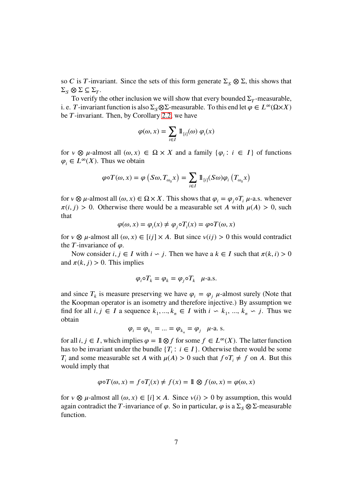so *C* is *T*-invariant. Since the sets of this form generate  $\Sigma$ <sub>*S*</sub>  $\otimes$   $\Sigma$ , this shows that  $\Sigma_S \otimes \Sigma \subseteq \Sigma_T$ .

To verify the other inclusion we will show that every bounded  $\Sigma_T$ -measurable, i. e. *T*-invariant function is also  $\Sigma_{\rm S} \otimes \Sigma$ -measurable. To this end let  $\varphi \in L^{\infty}(\Omega \times X)$ be *T*-invariant. Then, by Corollary [2.2,](#page-4-1) we have

$$
\varphi(\omega, x) = \sum_{i \in I} \mathbb{1}_{[i]}(\omega) \varphi_i(x)
$$

for  $v \otimes \mu$ -almost all  $(\omega, x) \in \Omega \times X$  and a family  $\{\varphi_i : i \in I\}$  of functions  $\varphi_i \in L^{\infty}(X)$ . Thus we obtain

$$
\varphi \circ T(\omega, x) = \varphi \left( S\omega, T_{\omega_0} x \right) = \sum_{i \in I} \mathbb{1}_{[i]}(S\omega) \varphi_i \left( T_{\omega_0} x \right)
$$

for  $v \otimes \mu$ -almost all  $(\omega, x) \in \Omega \times X$ . This shows that  $\varphi_i = \varphi_i \circ T_i \mu$ -a.s. whenever  $\pi(i, j) > 0$ . Otherwise there would be a measurable set *A* with  $\mu(A) > 0$ , such that

$$
\varphi(\omega, x) = \varphi_i(x) \neq \varphi_j \circ T_i(x) = \varphi \circ T(\omega, x)
$$

for  $v \otimes \mu$ -almost all  $(\omega, x) \in [ij] \times A$ . But since  $v(ij) > 0$  this would contradict the *-invariance of*  $\varphi$ *.* 

Now consider *i*,  $j \in I$  with  $i \backsim j$ . Then we have a  $k \in I$  such that  $\pi(k, i) > 0$ and  $\pi(k, j) > 0$ . This implies

$$
\varphi_i \circ T_k = \varphi_k = \varphi_j \circ T_k \quad \text{\(\mu-a.s.)}
$$

and since  $T_k$  is measure preserving we have  $\varphi_i = \varphi_j$   $\mu$ -almost surely (Note that the Koopman operator is an isometry and therefore injective.) By assumption we find for all  $i, j \in I$  a sequence  $k_1, ..., k_n \in I$  with  $i \backsim k_1, ..., k_n \backsim j$ . Thus we obtain

$$
\varphi_i = \varphi_{k_1} = \dots = \varphi_{k_n} = \varphi_j \quad \text{µ-a. s.}
$$

for all *i*, *j* ∈ *I*, which implies  $\varphi = \mathbb{1} \otimes f$  for some  $f \in L^\infty(X)$ . The latter function has to be invariant under the bundle  ${T_i : i \in I}$ . Otherwise there would be some *T<sub>i</sub>* and some measurable set *A* with  $\mu(A) > 0$  such that  $f \circ T_i \neq f$  on *A*. But this would imply that

$$
\varphi \circ T(\omega, x) = f \circ T_i(x) \neq f(x) = 11 \otimes f(\omega, x) = \varphi(\omega, x)
$$

for  $v \otimes \mu$ -almost all  $(\omega, x) \in [i] \times A$ . Since  $v(i) > 0$  by assumption, this would again contradict the *T*-invariance of  $\varphi$ . So in particular,  $\varphi$  is a  $\Sigma$ <sub>*s*</sub>  $\otimes$  Σ-measurable function.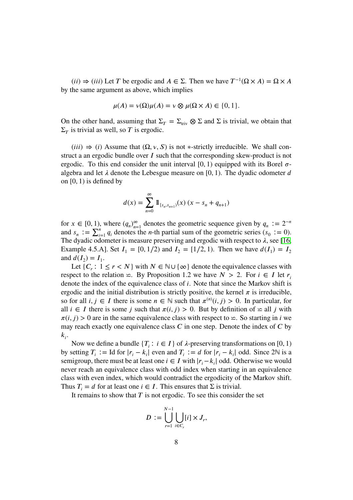$(ii) \Rightarrow (iii)$  Let *T* be ergodic and  $A \in \Sigma$ . Then we have  $T^{-1}(\Omega \times A) = \Omega \times A$ by the same argument as above, which implies

$$
\mu(A) = \nu(\Omega)\mu(A) = \nu \otimes \mu(\Omega \times A) \in \{0, 1\}.
$$

On the other hand, assuming that  $\Sigma_T = \Sigma_{\text{triv}} \otimes \Sigma$  and  $\Sigma$  is trivial, we obtain that  $\Sigma_T$  is trivial as well, so *T* is ergodic.

 $(iii) \Rightarrow (i)$  Assume that  $(\Omega, v, S)$  is not \*-strictly irreducible. We shall construct a an ergodic bundle over *I* such that the corresponding skew-product is not ergodic. To this end consider the unit interval  $[0, 1)$  equipped with its Borel  $\sigma$ algebra and let  $\lambda$  denote the Lebesgue measure on  $[0, 1)$ . The dyadic odometer  $d$ on [0*,* 1) is defined by

$$
d(x) = \sum_{n=0}^{\infty} \mathbb{1}_{[s_n, s_{n+1})}(x) (x - s_n + q_{n+1})
$$

for  $x \in [0, 1)$ , where  $(q_n)_{n=1}^{\infty}$  denotes the geometric sequence given by  $q_n := 2^{-n}$ and  $s_n := \sum_{i=1}^n q_i$  denotes the *n*-th partial sum of the geometric series  $(s_0 := 0)$ . The dyadic odometer is measure preserving and ergodic with respect to  $\lambda$ , see [\[16,](#page-14-4) Example 4.5.A]. Set  $I_1 = [0, 1/2)$  and  $I_2 = [1/2, 1)$ . Then we have  $d(I_1) = I_2$ and  $d(I_2) = I_1$ .

Let  $\{C_r : 1 \le r < N\}$  with  $N \in \mathbb{N} \cup \{\infty\}$  denote the equivalence classes with respect to the relation  $≤$ . By Proposition 1.2 we have *N* > 2. For *i* ∈ *I* let *r<sub>i</sub>* denote the index of the equivalence class of *i*. Note that since the Markov shift is ergodic and the initial distribution is strictly positive, the kernel  $\pi$  is irreducible, so for all  $i, j \in I$  there is some  $n \in \mathbb{N}$  such that  $\pi^{(n)}(i, j) > 0$ . In particular, for all  $i \in I$  there is some *j* such that  $\pi(i, j) > 0$ . But by definition of  $\simeq$  all *j* with  $\pi(i, j) > 0$  are in the same equivalence class with respect to  $\leq$ . So starting in *i* we may reach exactly one equivalence class  $\bar{C}$  in one step. Denote the index of  $\bar{C}$  by  $k_i$ .

Now we define a bundle  ${T_i : i \in I}$  of  $\lambda$ -preserving transformations on [0, 1) by setting  $T_i := \text{Id}$  for  $|r_i - k_i|$  even and  $T_i := d$  for  $|r_i - k_i|$  odd. Since 2 $\mathbb N$  is a semigroup, there must be at least one  $i \in I$  with  $|r_i - k_i|$  odd. Otherwise we would never reach an equivalence class with odd index when starting in an equivalence class with even index, which would contradict the ergodicity of the Markov shift. Thus  $T_i = d$  for at least one  $i \in I$ . This ensures that  $\Sigma$  is trivial.

It remains to show that  $T$  is not ergodic. To see this consider the set

$$
D := \bigcup_{r=1}^{N-1} \bigcup_{i \in C_r} [i] \times J_r,
$$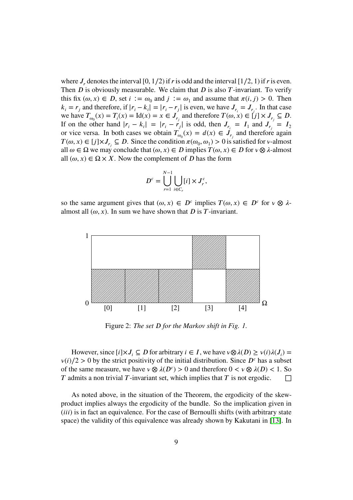where  $J_r$  denotes the interval [0, 1/2) if *t* is odd and the interval [1/2, 1) if *t* is even. Then *D* is obviously measurable. We claim that *D* is also *T*-invariant. To verify this fix  $(\omega, x) \in D$ , set  $i := \omega_0$  and  $j := \omega_1$  and assume that  $\pi(i, j) > 0$ . Then  $k_i = r_j$  and therefore, if  $|r_i - k_i| = |r_i - r_j|$  is even, we have  $J_{r_i} = J_{r_i}$ . In that case we have  $T_{\omega_0}(x) = T_i(x) = \text{Id}(x) = x \in J_{r_j}$  and therefore  $T(\omega, x) \in [j] \times J_{r_j} \subseteq D$ . If on the other hand  $|r_i - k_i| = |r_i - r_j|$  is odd, then  $J_{r_i} = I_1$  and  $J_{r_j} = I_2$ or vice versa. In both cases we obtain  $T_{\omega_0}(x) = d(x) \in \mathcal{J}_{r_j}$  and therefore again *T*( $\omega, x$ ) ∈ [*j*]×*J*<sub>*r*<sub>*j*</sub></sub> ⊆ *D*. Since the condition  $\pi(\omega_0, \omega_1) > 0$  is satisfied for *v*-almost all  $\omega \in \Omega$  we may conclude that  $(\omega, x) \in D$  implies  $T(\omega, x) \in D$  for  $\nu \otimes \lambda$ -almost all  $(\omega, x) \in \Omega \times X$ . Now the complement of *D* has the form

$$
D^{c} = \bigcup_{r=1}^{N-1} \bigcup_{i \in C_r} [i] \times J_r^c,
$$

so the same argument gives that  $(\omega, x) \in D^c$  implies  $T(\omega, x) \in D^c$  for  $\nu \otimes \lambda$ almost all  $(\omega, x)$ . In sum we have shown that *D* is *T*-invariant.



Figure 2: *The set D for the Markov shift in Fig. 1.* 

However, since  $[i] \times J_i \subseteq D$  for arbitrary  $i \in I$ , we have  $v \otimes \lambda(D) \ge v(i) \lambda(J_i) =$  $v(i)/2 > 0$  by the strict positivity of the initial distribution. Since  $D<sup>c</sup>$  has a subset of the same measure, we have  $\nu \otimes \lambda(D^c) > 0$  and therefore  $0 < \nu \otimes \lambda(D) < 1$ . So  $\bar{T}$  admits a non trivial  $\bar{T}$ -invariant set, which implies that  $\bar{T}$  is not ergodic.  $\Box$ 

As noted above, in the situation of the Theorem, the ergodicity of the skewproduct implies always the ergodicity of the bundle. So the implication given in (*iii*) is in fact an equivalence. For the case of Bernoulli shifts (with arbitrary state space) the validity of this equivalence was already shown by Kakutani in [\[13\]](#page-14-5). In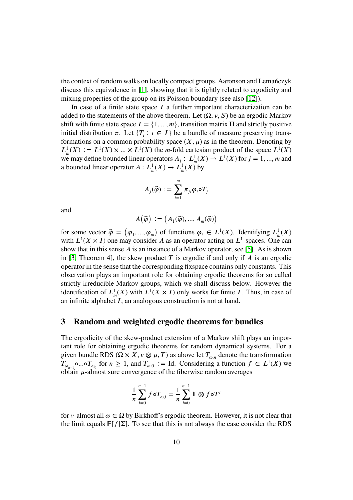the context of random walks on locally compact groups, Aaronson and Lemańczyk discuss this equivalence in [\[1\]](#page-13-2), showing that it is tightly related to ergodicity and mixing properties of the group on its Poisson boundary (see also [\[12\]](#page-14-6)).

In case of a finite state space  $I$  a further important characterization can be added to the statements of the above theorem. Let  $(\Omega, v, S)$  be an ergodic Markov shift with finite state space  $I = \{1, ..., m\}$ , transition matrix  $\Pi$  and strictly positive initial distribution  $\pi$ . Let  $\{T_i : i \in I\}$  be a bundle of measure preserving transformations on a common probability space  $(X, \mu)$  as in the theorem. Denoting by  $L^1_m(X) := L^1(X) \times \ldots \times L^1(X)$  the *m*-fold cartesian product of the space  $L^1(X)$ we may define bounded linear operators  $A_j: L^1_m(X) \to L^1(X)$  for  $j = 1, ..., m$  and a bounded linear operator  $A: L^1_m(X) \to L^1_m(X)$  by

$$
A_j(\vec{\varphi}) := \sum_{i=1}^m \pi_{ji} \varphi_i \circ T_j
$$

and

$$
A(\vec{\varphi}) := (A_1(\vec{\varphi}), ..., A_m(\vec{\varphi}))
$$

for some vector  $\vec{\varphi} = (\varphi_1, ..., \varphi_m)$  of functions  $\varphi_i \in L^1(X)$ . Identifying  $L^1_m(X)$ with  $L^1(X \times I)$  one may consider *A* as an operator acting on  $L^1$ -spaces. One can show that in this sense  $\vec{A}$  is an instance of a Markov operator, see [\[5\]](#page-14-7). As is shown in [\[3,](#page-13-0) Theorem 4], the skew product  $T$  is ergodic if and only if  $\vec{A}$  is an ergodic operator in the sense that the corresponding fixspace contains only constants. This observation plays an important role for obtaining ergodic theorems for so called strictly irreducible Markov groups, which we shall discuss below. However the identification of  $L^1_m(X)$  with  $L^1(X \times I)$  only works for finite *I*. Thus, in case of an infinite alphabet *I*, an analogous construction is not at hand.

## **3 Random and weighted ergodic theorems for bundles**

The ergodicity of the skew-product extension of a Markov shift plays an important role for obtaining ergodic theorems for random dynamical systems. For a given bundle RDS ( $\Omega \times X$ ,  $\nu \otimes \mu$ , *T*) as above let  $T_{\omega,n}$  denote the transformation *T*<sub> $\omega_{n-1}$ </sub>**∘...∘***T*<sub> $\omega_0$ </sub> for *n* ≥ 1, and *T*<sub> $\omega$ ,<sub>0</sub> ∶= Id. Considering a function *f* ∈ *L*<sup>1</sup>(*X*) we</sub> obtain  $\mu$ -almost sure convergence of the fiberwise random averages

$$
\frac{1}{n} \sum_{i=0}^{n-1} f \circ T_{\omega,i} = \frac{1}{n} \sum_{i=0}^{n-1} \mathbb{1} \otimes f \circ T^{i}
$$

for *v*-almost all  $\omega \in \Omega$  by Birkhoff's ergodic theorem. However, it is not clear that the limit equals  $\mathbb{E}[f|\Sigma]$ . To see that this is not always the case consider the RDS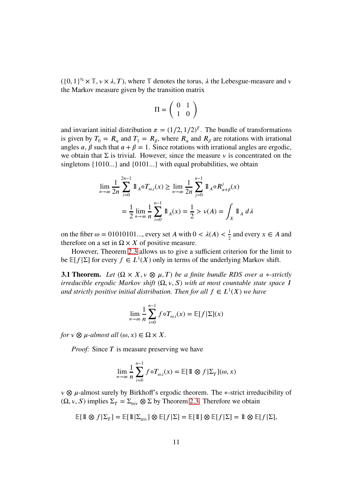$({0, 1}^N) \times \mathbb{T}, \nu \times \lambda, T$ , where  $\mathbb{T}$  denotes the torus,  $\lambda$  the Lebesgue-measure and  $\nu$ the Markov measure given by the transition matrix

$$
\Pi=\left(\begin{array}{cc} 0 & 1 \\ 1 & 0 \end{array}\right)
$$

and invariant initial distribution  $\pi = (1/2, 1/2)^T$ . The bundle of transformations is given by  $T_0 = R_\alpha$  and  $T_1 = R_\beta$ , where  $R_\alpha$  and  $R_\beta$  are rotations with irrational angles  $\alpha$ ,  $\beta$  such that  $\alpha + \beta = 1$ . Since rotations with irrational angles are ergodic, we obtain that  $\Sigma$  is trivial. However, since the measure  $\nu$  is concentrated on the singletons {1010*...*} and {0101*...*} with equal probabilities, we obtain

$$
\lim_{n \to \infty} \frac{1}{2n} \sum_{i=0}^{2n-1} \mathbb{1}_{A} \circ T_{\omega,i}(x) \ge \lim_{n \to \infty} \frac{1}{2n} \sum_{j=0}^{n-1} \mathbb{1}_{A} \circ R_{\alpha+\beta}^{j}(x)
$$

$$
= \frac{1}{2} \lim_{n \to \infty} \frac{1}{n} \sum_{i=0}^{n-1} \mathbb{1}_{A}(x) = \frac{1}{2} > v(A) = \int_{X} \mathbb{1}_{A} d\lambda
$$

on the fiber  $\omega = 01010101...$ , every set *A* with  $0 < \lambda(A) < \frac{1}{2}$  $\frac{1}{2}$  and every  $x \in A$  and therefore on a set in  $\Omega \times X$  of positive measure.

However, Theorem [2.3](#page-5-0) allows us to give a sufficient criterion for the limit to be  $E[f|\Sigma]$  for every  $f \in L^1(X)$  only in terms of the underlying Markov shift.

<span id="page-10-0"></span>**3.1 Theorem.** *Let*  $(\Omega \times X, v \otimes \mu, T)$  *be a finite bundle RDS over a* \*-strictly *irreducible ergodic Markov shift*  $(\Omega, \nu, S)$  *with at most countable state space I and strictly positive initial distribution. Then for all*  $f \in L^1(X)$  we have

$$
\lim_{n \to \infty} \frac{1}{n} \sum_{i=0}^{n-1} f \circ T_{\omega,i}(x) = \mathbb{E}[f|\Sigma](x)
$$

*for*  $v \otimes u$ -almost all  $(\omega, x) \in \Omega \times X$ .

*Proof:* Since *T* is measure preserving we have

$$
\lim_{n \to \infty} \frac{1}{n} \sum_{i=0}^{n-1} f \circ T_{\omega,i}(x) = \mathbb{E}[\mathbb{1} \otimes f] \Sigma_T](\omega, x)
$$

*ν* ⊗ *μ*-almost surely by Birkhoff's ergodic theorem. The ∗-strict irreducibility of  $(\Omega, v, S)$  implies  $\Sigma_T = \Sigma_{\text{triv}} \otimes \Sigma$  by Theorem [2.3.](#page-5-0) Therefore we obtain

$$
\mathbb{E}[\mathbbm{1}\otimes f|\Sigma_T]=\mathbb{E}[\mathbbm{1}|\Sigma_{\mathrm{triv}}]\otimes\mathbb{E}[f|\Sigma]=\mathbb{E}[\mathbbm{1}]\otimes\mathbb{E}[f|\Sigma]=\mathbbm{1}\otimes\mathbb{E}[f|\Sigma],
$$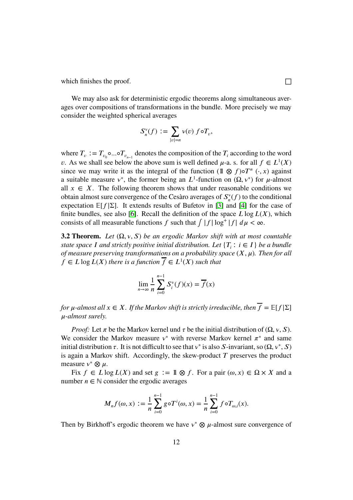which finishes the proof.  $\Box$ 

We may also ask for deterministic ergodic theorems along simultaneous averages over compositions of transformations in the bundle. More precisely we may consider the weighted spherical averages

$$
S_n^v(f) := \sum_{|v|=n} v(v) f \circ T_v,
$$

where  $T_v := T_{v_0} \circ ... \circ T_{v_{n-1}}$  denotes the composition of the  $T_i$  according to the word *v*. As we shall see below the above sum is well defined  $\mu$ -a. s. for all  $f \in L^1(X)$ since we may write it as the integral of the function  $(1 \otimes f) \circ T^n$   $(\cdot, x)$  against a suitable measure  $v^*$ , the former being an  $L^1$ -function on  $(\Omega, v^*)$  for  $\mu$ -almost all  $x \in X$ . The following theorem shows that under reasonable conditions we obtain almost sure convergence of the Cesàro averages of  $S_{n}^{\nu}$  $\int_{n}^{\nu} (f)$  to the conditional expectation  $\mathbb{E}[f|\Sigma]$ . It extends results of Bufetov in [\[3\]](#page-13-0) and [\[4\]](#page-14-2) for the case of finite bundles, see also [\[6\]](#page-14-8). Recall the definition of the space  $L \log L(X)$ , which consists of all measurable functions *f* such that  $\int |f| \log^+ |f| d\mu < \infty$ .

**3.2 Theorem.** *Let*  $(\Omega, v, S)$  *be an ergodic Markov shift with at most countable state space I* and strictly positive initial distribution. Let  $\{T_i : i \in I\}$  *be a bundle of measure preserving transformations on a probability space* (*𝑋, 𝜇*)*. Then for all*  $f \in L \log L(X)$  there is a function  $\overline{f} \in L^1(X)$  such that

$$
\lim_{n \to \infty} \frac{1}{n} \sum_{i=0}^{n-1} S_i^{\nu}(f)(x) = \overline{f}(x)
$$

*for*  $\mu$ -almost all  $x \in X$ . If the Markov shift is strictly irreducible, then  $\overline{f} = \mathbb{E}[f|\Sigma]$ *𝜇-almost surely.*

*Proof:* Let  $\pi$  be the Markov kernel und  $\tau$  be the initial distribution of ( $\Omega$ ,  $\nu$ ,  $\Omega$ ). We consider the Markov measure  $v^*$  with reverse Markov kernel  $\pi^*$  and same initial distribution  $\tau$ . It is not difficult to see that  $v^*$  is also *S*-invariant, so  $(\Omega, v^*, S)$ is again a Markov shift. Accordingly, the skew-product  $T$  preserves the product measure  $v^* \otimes \mu$ .

Fix  $f \in L \log L(X)$  and set  $g := \mathbb{1} \otimes f$ . For a pair  $(\omega, x) \in \Omega \times X$  and a number  $n \in \mathbb{N}$  consider the ergodic averages

$$
M_n f(\omega, x) := \frac{1}{n} \sum_{i=0}^{n-1} g \circ T^i(\omega, x) = \frac{1}{n} \sum_{i=0}^{n-1} f \circ T_{\omega, i}(x).
$$

Then by Birkhoff's ergodic theorem we have  $v^* \otimes \mu$ -almost sure convergence of

12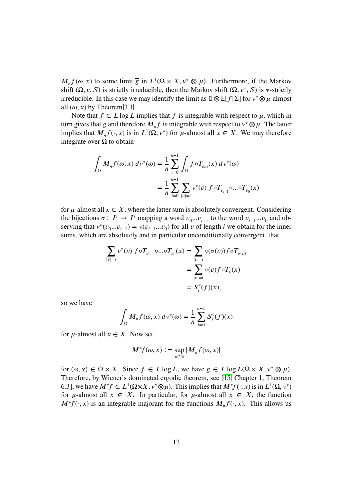$M_n f(\omega, x)$  to some limit  $\overline{g}$  in  $L^1(\Omega \times X, v^* \otimes \mu)$ . Furthermore, if the Markov shift  $(\Omega, v, S)$  is strictly irreducible, then the Markov shift  $(\Omega, v^*, S)$  is  $*$ -strictly irreducible. In this case we may identify the limit as  $1\mathbb{Q} \mathbb{E}[f|\Sigma]$  for  $v^* \otimes \mu$ -almost all  $(\omega, x)$  by Theorem [3.1.](#page-10-0)

Note that  $f \in L \log L$  implies that f is integrable with respect to  $\mu$ , which in turn gives that *g* and therefore  $M_n f$  is integrable with respect to  $v^* \otimes \mu$ . The latter implies that  $M_n f(\cdot, x)$  is in  $L^1(\Omega, v^*)$  for  $\mu$ -almost all  $x \in X$ . We may therefore integrate over  $Ω$  to obtain

$$
\int_{\Omega} M_n f(\omega, x) d\nu^*(\omega) = \frac{1}{n} \sum_{i=0}^{n-1} \int_{\Omega} f \circ T_{\omega, i}(x) d\nu^*(\omega)
$$

$$
= \frac{1}{n} \sum_{i=0}^{n-1} \sum_{|\nu|=i} \nu^*(\nu) f \circ T_{\nu_{i-1}} \circ \dots \circ T_{\nu_0}(x)
$$

for  $\mu$ -almost all  $x \in X$ , where the latter sum is absolutely convergent. Considering the bijections  $\sigma: I^i \to I^i$  mapping a word  $v_{0}...v_{i-1}$  to the word  $v_{i-1}...v_0$  and observing that  $v^*(v_0...v_{i-1}) = v(v_{i-1}...v_0)$  for all *v* of length *i* we obtain for the inner sums, which are absolutely and in particular unconditionally convergent, that

$$
\sum_{|v|=i} v^*(v) f \circ T_{v_{i-1}} \circ \dots \circ T_{v_0}(x) = \sum_{|v|=i} v(\sigma(v)) f \circ T_{\sigma(v)}
$$
  
= 
$$
\sum_{|v|=i} v(v) f \circ T_v(x)
$$
  
= 
$$
S_i^v(f)(x),
$$

so we have

$$
\int_{\Omega} M_n f(\omega, x) d\nu^*(\omega) = \frac{1}{n} \sum_{i=0}^{n-1} S_i^{\nu}(f)(x)
$$

for  $\mu$ -almost all  $x \in X$ . Now set

$$
M^*f(\omega, x) := \sup_{n \in \mathbb{N}} |M_n f(\omega, x)|
$$

for  $(\omega, x) \in \Omega \times X$ . Since  $f \in L \log L$ , we have  $g \in L \log L(\Omega \times X, v^* \otimes \mu)$ . Therefore, by Wiener's dominated ergodic theorem, see [\[15,](#page-14-9) Chapter 1, Theorem 6.3], we have  $M^*f \in L^1(\Omega \times X, v^* \otimes \mu)$ . This implies that  $M^*f(\cdot, x)$  is in  $L^1(\Omega, v^*)$ for  $\mu$ -almost all  $x \in X$ . In particular, for  $\mu$ -almost all  $x \in X$ , the function  $M^*f(\cdot, x)$  is an integrable majorant for the functions  $M_n f(\cdot, x)$ . This allows us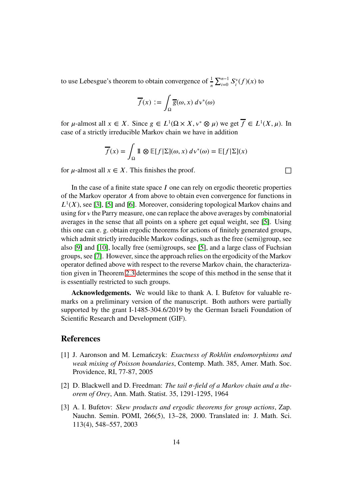to use Lebesgue's theorem to obtain convergence of  $\frac{1}{n} \sum_{i=0}^{n-1} S_i^{\nu}$  $\binom{v}{i}(f)(x)$  to

$$
\overline{f}(x) := \int_{\Omega} \overline{g}(\omega, x) \, d\nu^*(\omega)
$$

for  $\mu$ -almost all  $x \in X$ . Since  $g \in L^1(\Omega \times X, v^* \otimes \mu)$  we get  $\overline{f} \in L^1(X, \mu)$ . In case of a strictly irreducible Markov chain we have in addition

$$
\overline{f}(x) = \int_{\Omega} \mathbb{1} \otimes \mathbb{E}[f|\Sigma](\omega, x) d\mathbf{v}^*(\omega) = \mathbb{E}[f|\Sigma](x)
$$

for  $\mu$ -almost all  $x \in X$ . This finishes the proof.  $\Box$ 

In the case of a finite state space  $I$  one can rely on ergodic theoretic properties of the Markov operator *𝐴* from above to obtain even convergence for functions in  $L^1(X)$ , see [\[3\]](#page-13-0), [\[5\]](#page-14-7) and [\[6\]](#page-14-8). Moreover, considering topological Markov chains and using for *v* the Parry measure, one can replace the above averages by combinatorial averages in the sense that all points on a sphere get equal weight, see [\[5\]](#page-14-7). Using this one can e. g. obtain ergodic theorems for actions of finitely generated groups, which admit strictly irreducible Markov codings, such as the free (semi)group, see also [\[9\]](#page-14-10) and [\[10\]](#page-14-11), locally free (semi)groups, see [\[5\]](#page-14-7), and a large class of Fuchsian groups, see [\[7\]](#page-14-12). However, since the approach relies on the ergodicity of the Markov operator defined above with respect to the reverse Markov chain, the characterization given in Theorem [2.3](#page-5-0) determines the scope of this method in the sense that it is essentially restricted to such groups.

**Acknowledgements.** We would like to thank A. I. Bufetov for valuable remarks on a preliminary version of the manuscript. Both authors were partially supported by the grant I-1485-304.6/2019 by the German Israeli Foundation of Scientific Research and Development (GIF).

## <span id="page-13-2"></span>**References**

- [1] J. Aaronson and M. Lemańczyk: *Exactness of Rokhlin endomorphisms and weak mixing of Poisson boundaries*, Contemp. Math. 385, Amer. Math. Soc. Providence, RI, 77-87, 2005
- <span id="page-13-1"></span>[2] D. Blackwell and D. Freedman: *The tail*  $\sigma$ -field of a Markov chain and a the*orem of Orey*, Ann. Math. Statist. 35, 1291-1295, 1964
- <span id="page-13-0"></span>[3] A. I. Bufetov: *Skew products and ergodic theorems for group actions*, Zap. Nauchn. Semin. POMI, 266(5), 13–28, 2000. Translated in: J. Math. Sci. 113(4), 548–557, 2003